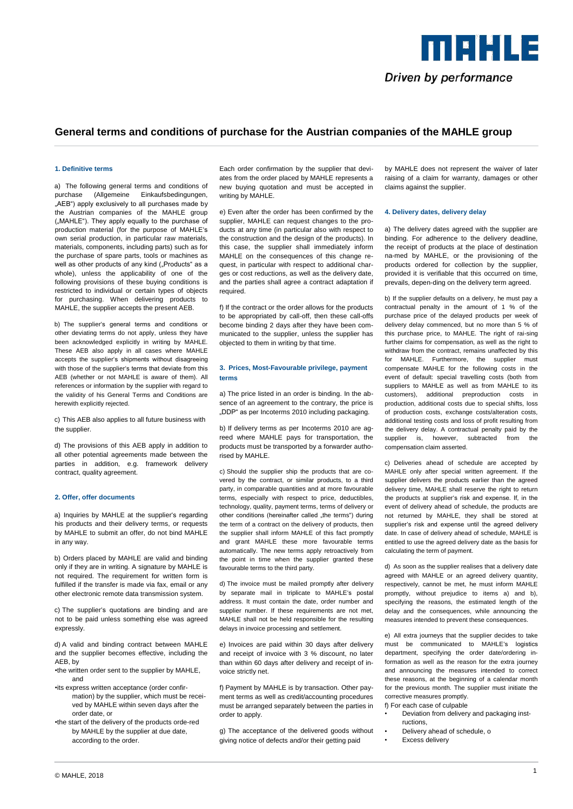

# **General terms and conditions of purchase for the Austrian companies of the MAHLE group**

#### **1. Definitive terms**

a) The following general terms and conditions of purchase (Allgemeine Einkaufsbedingungen, "AEB") apply exclusively to all purchases made by the Austrian companies of the MAHLE group ("MAHLE"). They apply equally to the purchase of production material (for the purpose of MAHLE's own serial production, in particular raw materials, materials, components, including parts) such as for the purchase of spare parts, tools or machines as well as other products of any kind ("Products" as a whole), unless the applicability of one of the following provisions of these buying conditions is restricted to individual or certain types of objects for purchasing. When delivering products to MAHLE, the supplier accepts the present AEB.

b) The supplier's general terms and conditions or other deviating terms do not apply, unless they have been acknowledged explicitly in writing by MAHLE. These AEB also apply in all cases where MAHLE accepts the supplier's shipments without disagreeing with those of the supplier's terms that deviate from this AEB (whether or not MAHLE is aware of them). All references or information by the supplier with regard to the validity of his General Terms and Conditions are herewith explicitly rejected.

c) This AEB also applies to all future business with the supplier.

d) The provisions of this AEB apply in addition to all other potential agreements made between the parties in addition, e.g. framework delivery contract, quality agreement.

#### **2. Offer, offer documents**

a) Inquiries by MAHLE at the supplier's regarding his products and their delivery terms, or requests by MAHLE to submit an offer, do not bind MAHLE in any way.

b) Orders placed by MAHLE are valid and binding only if they are in writing. A signature by MAHLE is not required. The requirement for written form is fulfilled if the transfer is made via fax, email or any other electronic remote data transmission system.

c) The supplier's quotations are binding and are not to be paid unless something else was agreed expressly.

d) A valid and binding contract between MAHLE and the supplier becomes effective, including the AEB, by

- •the written order sent to the supplier by MAHLE, and
- •its express written acceptance (order confirmation) by the supplier, which must be received by MAHLE within seven days after the order date, or
- •the start of the delivery of the products orde-red by MAHLE by the supplier at due date, according to the order.

Each order confirmation by the supplier that deviates from the order placed by MAHLE represents a new buying quotation and must be accepted in writing by MAHLE.

e) Even after the order has been confirmed by the supplier, MAHLE can request changes to the products at any time (in particular also with respect to the construction and the design of the products). In this case, the supplier shall immediately inform MAHLE on the consequences of this change request, in particular with respect to additional charges or cost reductions, as well as the delivery date, and the parties shall agree a contract adaptation if required.

f) If the contract or the order allows for the products to be appropriated by call-off, then these call-offs become binding 2 days after they have been communicated to the supplier, unless the supplier has objected to them in writing by that time.

#### **3. Prices, Most-Favourable privilege, payment terms**

a) The price listed in an order is binding. In the absence of an agreement to the contrary, the price is "DDP" as per Incoterms 2010 including packaging.

b) If delivery terms as per Incoterms 2010 are agreed where MAHLE pays for transportation, the products must be transported by a forwarder authorised by MAHLE.

c) Should the supplier ship the products that are covered by the contract, or similar products, to a third party, in comparable quantities and at more favourable terms, especially with respect to price, deductibles, technology, quality, payment terms, terms of delivery or other conditions (hereinafter called the terms") during the term of a contract on the delivery of products, then the supplier shall inform MAHLE of this fact promptly and grant MAHLE these more favourable terms automatically. The new terms apply retroactively from the point in time when the supplier granted these favourable terms to the third party.

d) The invoice must be mailed promptly after delivery by separate mail in triplicate to MAHLE's postal address. It must contain the date, order number and supplier number. If these requirements are not met, MAHLE shall not be held responsible for the resulting delays in invoice processing and settlement.

e) Invoices are paid within 30 days after delivery and receipt of invoice with 3 % discount, no later than within 60 days after delivery and receipt of invoice strictly net.

f) Payment by MAHLE is by transaction. Other payment terms as well as credit/accounting procedures must be arranged separately between the parties in order to apply.

g) The acceptance of the delivered goods without giving notice of defects and/or their getting paid

by MAHLE does not represent the waiver of later raising of a claim for warranty, damages or other claims against the supplier.

#### **4. Delivery dates, delivery delay**

a) The delivery dates agreed with the supplier are binding. For adherence to the delivery deadline, the receipt of products at the place of destination na-med by MAHLE, or the provisioning of the products ordered for collection by the supplier, provided it is verifiable that this occurred on time, prevails, depen-ding on the delivery term agreed.

b) If the supplier defaults on a delivery, he must pay a contractual penalty in the amount of 1 % of the purchase price of the delayed products per week of delivery delay commenced, but no more than 5 % of this purchase price, to MAHLE. The right of rai-sing further claims for compensation, as well as the right to withdraw from the contract, remains unaffected by this for MAHLE. Furthermore, the supplier must compensate MAHLE for the following costs in the event of default: special travelling costs (both from suppliers to MAHLE as well as from MAHLE to its customers), additional preproduction costs in production, additional costs due to special shifts, loss of production costs, exchange costs/alteration costs, additional testing costs and loss of profit resulting from the delivery delay. A contractual penalty paid by the supplier is, however, subtracted from the compensation claim asserted.

c) Deliveries ahead of schedule are accepted by MAHLE only after special written agreement. If the supplier delivers the products earlier than the agreed delivery time, MAHLE shall reserve the right to return the products at supplier's risk and expense. If, in the event of delivery ahead of schedule, the products are not returned by MAHLE, they shall be stored at supplier's risk and expense until the agreed delivery date. In case of delivery ahead of schedule, MAHLE is entitled to use the agreed delivery date as the basis for calculating the term of payment.

d) As soon as the supplier realises that a delivery date agreed with MAHLE or an agreed delivery quantity, respectively, cannot be met, he must inform MAHLE promptly, without prejudice to items a) and b), specifying the reasons, the estimated length of the delay and the consequences, while announcing the measures intended to prevent these consequences.

e) All extra journeys that the supplier decides to take must be communicated to MAHLE's logistics department, specifying the order date/ordering information as well as the reason for the extra journey and announcing the measures intended to correct these reasons, at the beginning of a calendar month for the previous month. The supplier must initiate the corrective measures promptly.

- f) For each case of culpable
- Deviation from delivery and packaging instructions,
- Delivery ahead of schedule, o
- Excess delivery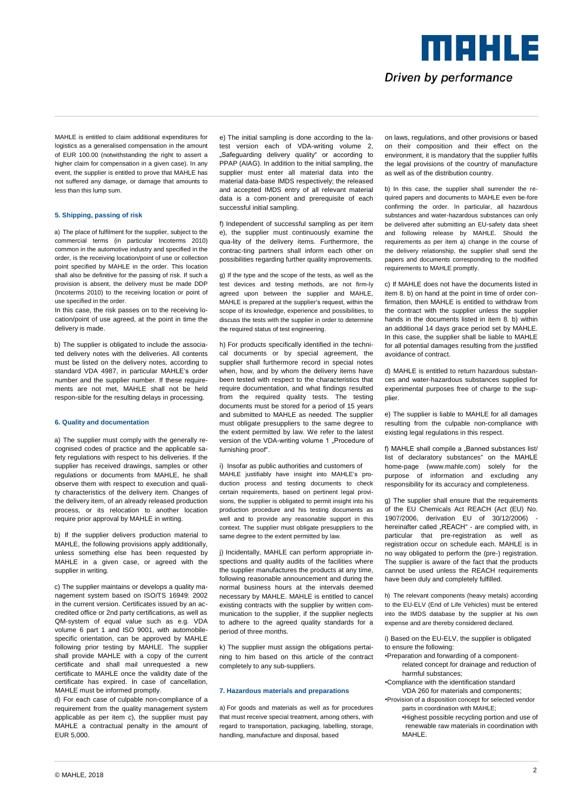

MAHLE is entitled to claim additional expenditures for logistics as a generalised compensation in the amount of EUR 100.00 (notwithstanding the right to assert a higher claim for compensation in a given case). In any event, the supplier is entitled to prove that MAHLE has not suffered any damage, or damage that amounts to less than this lump sum.

## **5. Shipping, passing of risk**

a) The place of fulfilment for the supplier, subject to the commercial terms (in particular Incoterms 2010) common in the automotive industry and specified in the order, is the receiving location/point of use or collection point specified by MAHLE in the order. This location shall also be definitive for the passing of risk. If such a provision is absent, the delivery must be made DDP (Incoterms 2010) to the receiving location or point of use specified in the order.

In this case, the risk passes on to the receiving location/point of use agreed, at the point in time the delivery is made.

b) The supplier is obligated to include the associated delivery notes with the deliveries. All contents must be listed on the delivery notes, according to standard VDA 4987, in particular MAHLE's order number and the supplier number. If these requirements are not met, MAHLE shall not be held respon-sible for the resulting delays in processing.

#### **6. Quality and documentation**

a) The supplier must comply with the generally recognised codes of practice and the applicable safety regulations with respect to his deliveries. If the supplier has received drawings, samples or other regulations or documents from MAHLE, he shall observe them with respect to execution and quality characteristics of the delivery item. Changes of the delivery item, of an already released production process, or its relocation to another location require prior approval by MAHLE in writing.

b) If the supplier delivers production material to MAHLE, the following provisions apply additionally, unless something else has been requested by MAHLE in a given case, or agreed with the supplier in writing.

c) The supplier maintains or develops a quality management system based on ISO/TS 16949: 2002 in the current version. Certificates issued by an accredited office or 2nd party certifications, as well as QM-system of equal value such as e.g. VDA volume 6 part 1 and ISO 9001, with automobilespecific orientation, can be approved by MAHLE following prior testing by MAHLE. The supplier shall provide MAHLE with a copy of the current certificate and shall mail unrequested a new certificate to MAHLE once the validity date of the certificate has expired. In case of cancellation, MAHLE must be informed promptly.

d) For each case of culpable non-compliance of a requirement from the quality management system applicable as per item c), the supplier must pay MAHLE a contractual penalty in the amount of EUR 5,000.

e) The initial sampling is done according to the latest version each of VDA-writing volume 2, .Safeguarding delivery quality or according to PPAP (AIAG). In addition to the initial sampling, the supplier must enter all material data into the material data-base IMDS respectively; the released and accepted IMDS entry of all relevant material data is a com-ponent and prerequisite of each successful initial sampling.

f) Independent of successful sampling as per item e), the supplier must continuously examine the qua-lity of the delivery items. Furthermore, the contrac-ting partners shall inform each other on possibilities regarding further quality improvements.

g) If the type and the scope of the tests, as well as the test devices and testing methods, are not firm-ly agreed upon between the supplier and MAHLE, MAHLE is prepared at the supplier's request, within the scope of its knowledge, experience and possibilities, to discuss the tests with the supplier in order to determine the required status of test engineering.

h) For products specifically identified in the technical documents or by special agreement, the supplier shall furthermore record in special notes when, how, and by whom the delivery items have been tested with respect to the characteristics that require documentation, and what findings resulted from the required quality tests. The testing documents must be stored for a period of 15 years and submitted to MAHLE as needed. The supplier must obligate presuppliers to the same degree to the extent permitted by law. We refer to the latest version of the VDA-writing volume 1 "Procedure of furnishing proof".

i) Insofar as public authorities and customers of MAHLE justifiably have insight into MAHLE's production process and testing documents to check certain requirements, based on pertinent legal provisions, the supplier is obligated to permit insight into his production procedure and his testing documents as well and to provide any reasonable support in this context. The supplier must obligate presuppliers to the same degree to the extent permitted by law.

j) Incidentally, MAHLE can perform appropriate inspections and quality audits of the facilities where the supplier manufactures the products at any time, following reasonable announcement and during the normal business hours at the intervals deemed necessary by MAHLE. MAHLE is entitled to cancel existing contracts with the supplier by written communication to the supplier, if the supplier neglects to adhere to the agreed quality standards for a period of three months.

k) The supplier must assign the obligations pertaining to him based on this article of the contract completely to any sub-suppliers.

#### **7. Hazardous materials and preparations**

a) For goods and materials as well as for procedures that must receive special treatment, among others, with regard to transportation, packaging, labelling, storage, handling, manufacture and disposal, based

on laws, regulations, and other provisions or based on their composition and their effect on the environment, it is mandatory that the supplier fulfils the legal provisions of the country of manufacture as well as of the distribution country.

b) In this case, the supplier shall surrender the required papers and documents to MAHLE even be-fore confirming the order. In particular, all hazardous substances and water-hazardous substances can only be delivered after submitting an EU-safety data sheet and following release by MAHLE. Should the requirements as per item a) change in the course of the delivery relationship, the supplier shall send the papers and documents corresponding to the modified requirements to MAHLE promptly.

c) If MAHLE does not have the documents listed in item 8. b) on hand at the point in time of order confirmation, then MAHLE is entitled to withdraw from the contract with the supplier unless the supplier hands in the documents listed in item 8. b) within an additional 14 days grace period set by MAHLE. In this case, the supplier shall be liable to MAHLE for all potential damages resulting from the justified avoidance of contract.

d) MAHLE is entitled to return hazardous substances and water-hazardous substances supplied for experimental purposes free of charge to the supplier.

e) The supplier is liable to MAHLE for all damages resulting from the culpable non-compliance with existing legal regulations in this respect.

f) MAHLE shall compile a "Banned substances list/ list of declaratory substances" on the MAHLE home-page (www.mahle.com) solely for the purpose of information and excluding any responsibility for its accuracy and completeness.

g) The supplier shall ensure that the requirements of the EU Chemicals Act REACH (Act (EU) No. 1907/2006, derivation EU of 30/12/2006) hereinafter called "REACH" - are complied with, in particular that pre-registration as well as registration occur on schedule each. MAHLE is in no way obligated to perform the (pre-) registration. The supplier is aware of the fact that the products cannot be used unless the REACH requirements have been duly and completely fulfilled.

h) The relevant components (heavy metals) according to the EU-ELV (End of Life Vehicles) must be entered into the IMDS database by the supplier at his own expense and are thereby considered declared.

i) Based on the EU-ELV, the supplier is obligated to ensure the following:

- •Preparation and forwarding of a componentrelated concept for drainage and reduction of harmful substances;
- •Compliance with the identification standard .<br>VDA 260 for materials and components:
- •Provision of a disposition concept for selected vendor parts in coordination with MAHLE;
	- •Highest possible recycling portion and use of renewable raw materials in coordination with MAHI F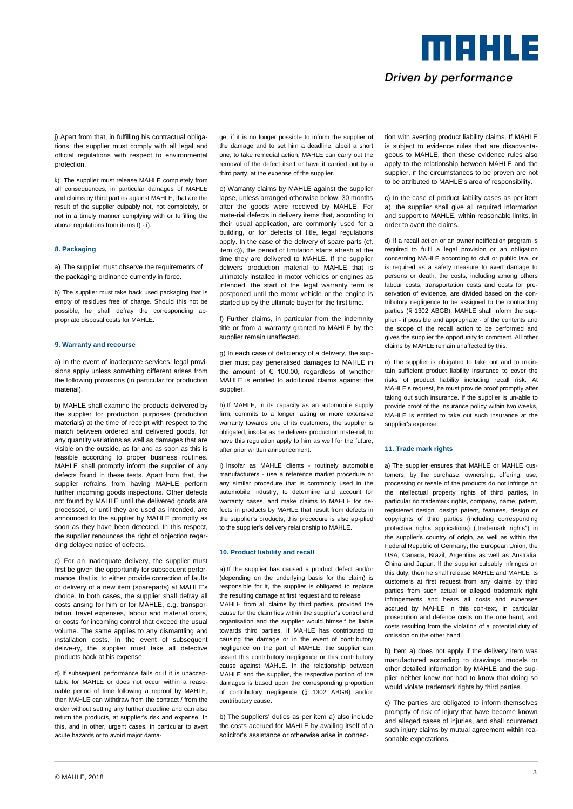Driven by performance

**TTT DE L'ILE** 

j) Apart from that, in fulfilling his contractual obligations, the supplier must comply with all legal and official regulations with respect to environmental protection.

k) The supplier must release MAHLE completely from all consequences, in particular damages of MAHLE and claims by third parties against MAHLE, that are the result of the supplier culpably not, not completely, or not in a timely manner complying with or fulfilling the above regulations from items f) - i).

## **8. Packaging**

a) The supplier must observe the requirements of the packaging ordinance currently in force.

b) The supplier must take back used packaging that is empty of residues free of charge. Should this not be possible, he shall defray the corresponding appropriate disposal costs for MAHLE.

## **9. Warranty and recourse**

a) In the event of inadequate services, legal provisions apply unless something different arises from the following provisions (in particular for production material).

b) MAHLE shall examine the products delivered by the supplier for production purposes (production materials) at the time of receipt with respect to the match between ordered and delivered goods, for any quantity variations as well as damages that are visible on the outside, as far and as soon as this is feasible according to proper business routines. MAHLE shall promptly inform the supplier of any defects found in these tests. Apart from that, the supplier refrains from having MAHLE perform further incoming goods inspections. Other defects not found by MAHLE until the delivered goods are processed, or until they are used as intended, are announced to the supplier by MAHLE promptly as soon as they have been detected. In this respect, the supplier renounces the right of objection regarding delayed notice of defects.

c) For an inadequate delivery, the supplier must first be given the opportunity for subsequent performance, that is, to either provide correction of faults or delivery of a new item (spareparts) at MAHLE's choice. In both cases, the supplier shall defray all costs arising for him or for MAHLE, e.g. transportation, travel expenses, labour and material costs, or costs for incoming control that exceed the usual volume. The same applies to any dismantling and installation costs. In the event of subsequent delive-ry, the supplier must take all defective products back at his expense.

d) If subsequent performance fails or if it is unacceptable for MAHLE or does not occur within a reasonable period of time following a reproof by MAHLE, then MAHLE can withdraw from the contract / from the order without setting any further deadline and can also return the products, at supplier's risk and expense. In this, and in other, urgent cases, in particular to avert acute hazards or to avoid major dama-

ge, if it is no longer possible to inform the supplier of the damage and to set him a deadline, albeit a short one, to take remedial action, MAHLE can carry out the removal of the defect itself or have it carried out by a third party, at the expense of the supplier.

e) Warranty claims by MAHLE against the supplier lapse, unless arranged otherwise below, 30 months after the goods were received by MAHLE. For mate-rial defects in delivery items that, according to their usual application, are commonly used for a building, or for defects of title, legal regulations apply. In the case of the delivery of spare parts (cf. item c)), the period of limitation starts afresh at the time they are delivered to MAHLE. If the supplier delivers production material to MAHLE that is ultimately installed in motor vehicles or engines as intended, the start of the legal warranty term is postponed until the motor vehicle or the engine is started up by the ultimate buyer for the first time.

f) Further claims, in particular from the indemnity title or from a warranty granted to MAHLE by the supplier remain unaffected.

g) In each case of deficiency of a delivery, the supplier must pay generalised damages to MAHLE in the amount of  $\epsilon$  100.00, regardless of whether MAHLE is entitled to additional claims against the supplier.

h) If MAHLE, in its capacity as an automobile supply firm, commits to a longer lasting or more extensive warranty towards one of its customers, the supplier is obligated, insofar as he delivers production mate-rial, to have this regulation apply to him as well for the future, after prior written announcement.

i) Insofar as MAHLE clients - routinely automobile manufacturers - use a reference market procedure or any similar procedure that is commonly used in the automobile industry, to determine and account for warranty cases, and make claims to MAHLE for defects in products by MAHLE that result from defects in the supplier's products, this procedure is also ap-plied to the supplier's delivery relationship to MAHLE.

## **10. Product liability and recall**

a) If the supplier has caused a product defect and/or (depending on the underlying basis for the claim) is responsible for it, the supplier is obligated to replace the resulting damage at first request and to release MAHLE from all claims by third parties, provided the cause for the claim lies within the supplier's control and organisation and the supplier would himself be liable towards third parties. If MAHLE has contributed to causing the damage or in the event of contributory negligence on the part of MAHLE, the supplier can assert this contributory negligence or this contributory cause against MAHLE. In the relationship between MAHLE and the supplier, the respective portion of the damages is based upon the corresponding proportion of contributory negligence (§ 1302 ABGB) and/or contributory cause.

b) The suppliers' duties as per item a) also include the costs accrued for MAHLE by availing itself of a solicitor's assistance or otherwise arise in connec-

tion with averting product liability claims. If MAHLE is subject to evidence rules that are disadvantageous to MAHLE, then these evidence rules also apply to the relationship between MAHLE and the supplier, if the circumstances to be proven are not to be attributed to MAHLE's area of responsibility.

c) In the case of product liability cases as per item a), the supplier shall give all required information and support to MAHLE, within reasonable limits, in order to avert the claims.

d) If a recall action or an owner notification program is required to fulfil a legal provision or an obligation concerning MAHLE according to civil or public law, or is required as a safety measure to avert damage to persons or death, the costs, including among others labour costs, transportation costs and costs for preservation of evidence, are divided based on the contributory negligence to be assigned to the contracting parties (§ 1302 ABGB). MAHLE shall inform the supplier - if possible and appropriate - of the contents and the scope of the recall action to be performed and gives the supplier the opportunity to comment. All other claims by MAHLE remain unaffected by this.

e) The supplier is obligated to take out and to maintain sufficient product liability insurance to cover the risks of product liability including recall risk. At MAHLE's request, he must provide proof promptly after taking out such insurance. If the supplier is un-able to provide proof of the insurance policy within two weeks, MAHLE is entitled to take out such insurance at the supplier's expense.

# **11. Trade mark rights**

a) The supplier ensures that MAHLE or MAHLE customers, by the purchase, ownership, offering, use, processing or resale of the products do not infringe on the intellectual property rights of third parties, in particular no trademark rights, company, name, patent, registered design, design patent, features, design or copyrights of third parties (including corresponding protective rights applications) ("trademark rights") in the supplier's country of origin, as well as within the Federal Republic of Germany, the European Union, the USA, Canada, Brazil, Argentina as well as Australia, China and Japan. If the supplier culpably infringes on this duty, then he shall release MAHLE and MAHLE its customers at first request from any claims by third parties from such actual or alleged trademark right infringements and bears all costs and expenses accrued by MAHLE in this con-text, in particular prosecution and defence costs on the one hand, and costs resulting from the violation of a potential duty of omission on the other hand.

b) Item a) does not apply if the delivery item was manufactured according to drawings, models or other detailed information by MAHLE and the supplier neither knew nor had to know that doing so would violate trademark rights by third parties.

c) The parties are obligated to inform themselves promptly of risk of injury that have become known and alleged cases of injuries, and shall counteract such injury claims by mutual agreement within reasonable expectations.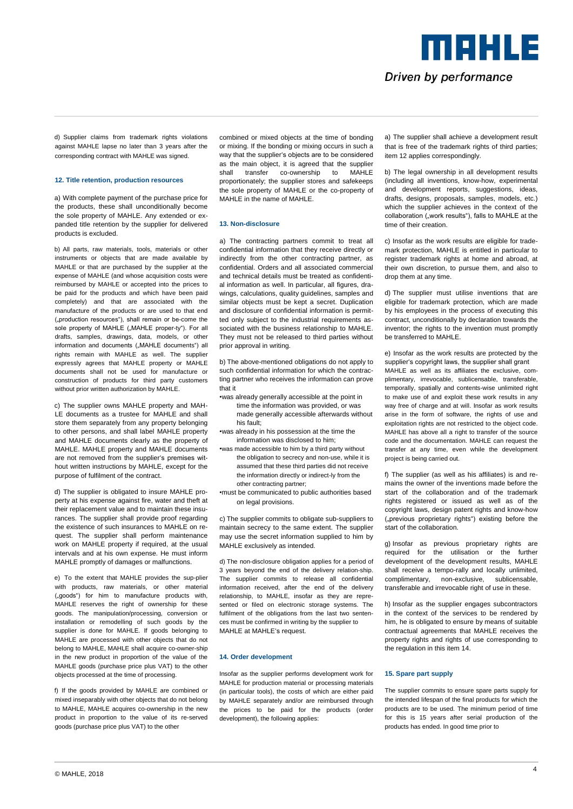Driven by performance

MAHLE

d) Supplier claims from trademark rights violations against MAHLE lapse no later than 3 years after the corresponding contract with MAHLE was signed.

## **12. Title retention, production resources**

a) With complete payment of the purchase price for the products, these shall unconditionally become the sole property of MAHLE. Any extended or expanded title retention by the supplier for delivered products is excluded.

b) All parts, raw materials, tools, materials or other instruments or objects that are made available by MAHLE or that are purchased by the supplier at the expense of MAHLE (and whose acquisition costs were reimbursed by MAHLE or accepted into the prices to be paid for the products and which have been paid completely) and that are associated with the manufacture of the products or are used to that end ("production resources"), shall remain or be-come the sole property of MAHLE (..MAHLE proper-ty"). For all drafts, samples, drawings, data, models, or other information and documents ("MAHLE documents") all rights remain with MAHLE as well. The supplier expressly agrees that MAHLE property or MAHLE documents shall not be used for manufacture or construction of products for third party customers without prior written authorization by MAHLE.

c) The supplier owns MAHLE property and MAH-LE documents as a trustee for MAHLE and shall store them separately from any property belonging to other persons, and shall label MAHLE property and MAHLE documents clearly as the property of MAHLE. MAHLE property and MAHLE documents are not removed from the supplier's premises without written instructions by MAHLE, except for the purpose of fulfilment of the contract.

d) The supplier is obligated to insure MAHLE property at his expense against fire, water and theft at their replacement value and to maintain these insurances. The supplier shall provide proof regarding the existence of such insurances to MAHLE on request. The supplier shall perform maintenance work on MAHLE property if required, at the usual intervals and at his own expense. He must inform MAHLE promptly of damages or malfunctions.

e) To the extent that MAHLE provides the sup-plier with products, raw materials, or other material ("goods") for him to manufacture products with, MAHLE reserves the right of ownership for these goods. The manipulation/processing, conversion or installation or remodelling of such goods by the supplier is done for MAHLE. If goods belonging to MAHLE are processed with other objects that do not belong to MAHLE, MAHLE shall acquire co-owner-ship in the new product in proportion of the value of the MAHLE goods (purchase price plus VAT) to the other objects processed at the time of processing.

f) If the goods provided by MAHLE are combined or mixed inseparably with other objects that do not belong to MAHLE, MAHLE acquires co-ownership in the new product in proportion to the value of its re-served goods (purchase price plus VAT) to the other

combined or mixed objects at the time of bonding or mixing. If the bonding or mixing occurs in such a way that the supplier's objects are to be considered as the main object, it is agreed that the supplier shall transfer co-ownership to MAHLE proportionately; the supplier stores and safekeeps the sole property of MAHLE or the co-property of MAHLE in the name of MAHLE.

## **13. Non-disclosure**

a) The contracting partners commit to treat all confidential information that they receive directly or indirectly from the other contracting partner, as confidential. Orders and all associated commercial and technical details must be treated as confidential information as well. In particular, all figures, drawings, calculations, quality guidelines, samples and similar objects must be kept a secret. Duplication and disclosure of confidential information is permitted only subject to the industrial requirements associated with the business relationship to MAHLE. They must not be released to third parties without prior approval in writing.

b) The above-mentioned obligations do not apply to such confidential information for which the contracting partner who receives the information can prove that it

- •was already generally accessible at the point in
	- time the information was provided, or was made generally accessible afterwards without his fault;
- •was already in his possession at the time the information was disclosed to him;
- •was made accessible to him by a third party without the obligation to secrecy and non-use, while it is assumed that these third parties did not receive the information directly or indirect-ly from the other contracting partner;
- •must be communicated to public authorities based on legal provisions.

c) The supplier commits to obligate sub-suppliers to maintain secrecy to the same extent. The supplier may use the secret information supplied to him by MAHLE exclusively as intended.

d) The non-disclosure obligation applies for a period of 3 years beyond the end of the delivery relation-ship. The supplier commits to release all confidential information received, after the end of the delivery relationship, to MAHLE, insofar as they are represented or filed on electronic storage systems. The fulfilment of the obligations from the last two sentences must be confirmed in writing by the supplier to MAHLE at MAHLE's request.

#### **14. Order development**

Insofar as the supplier performs development work for MAHLE for production material or processing materials (in particular tools), the costs of which are either paid by MAHLE separately and/or are reimbursed through the prices to be paid for the products (order development), the following applies:

a) The supplier shall achieve a development result that is free of the trademark rights of third parties; item 12 applies correspondingly.

b) The legal ownership in all development results (including all inventions, know-how, experimental and development reports, suggestions, ideas, drafts, designs, proposals, samples, models, etc.) which the supplier achieves in the context of the collaboration ("work results"), falls to MAHLE at the time of their creation.

c) Insofar as the work results are eligible for trademark protection, MAHLE is entitled in particular to register trademark rights at home and abroad, at their own discretion, to pursue them, and also to drop them at any time.

d) The supplier must utilise inventions that are eligible for trademark protection, which are made by his employees in the process of executing this contract, unconditionally by declaration towards the inventor; the rights to the invention must promptly be transferred to MAHLE.

e) Insofar as the work results are protected by the supplier's copyright laws, the supplier shall grant MAHLE as well as its affiliates the exclusive, complimentary, irrevocable, sublicensable, transferable, temporally, spatially and contents-wise unlimited right to make use of and exploit these work results in any way free of charge and at will. Insofar as work results arise in the form of software, the rights of use and exploitation rights are not restricted to the object code. MAHLE has above all a right to transfer of the source code and the documentation. MAHLE can request the transfer at any time, even while the development project is being carried out.

f) The supplier (as well as his affiliates) is and remains the owner of the inventions made before the start of the collaboration and of the trademark rights registered or issued as well as of the copyright laws, design patent rights and know-how ("previous proprietary rights") existing before the start of the collaboration.

g) Insofar as previous proprietary rights are required for the utilisation or the further development of the development results, MAHLE shall receive a tempo-rally and locally unlimited, complimentary, non-exclusive, sublicensable, transferable and irrevocable right of use in these.

h) Insofar as the supplier engages subcontractors in the context of the services to be rendered by him, he is obligated to ensure by means of suitable contractual agreements that MAHLE receives the property rights and rights of use corresponding to the regulation in this item 14.

### **15. Spare part supply**

The supplier commits to ensure spare parts supply for the intended lifespan of the final products for which the products are to be used. The minimum period of time for this is 15 years after serial production of the products has ended. In good time prior to